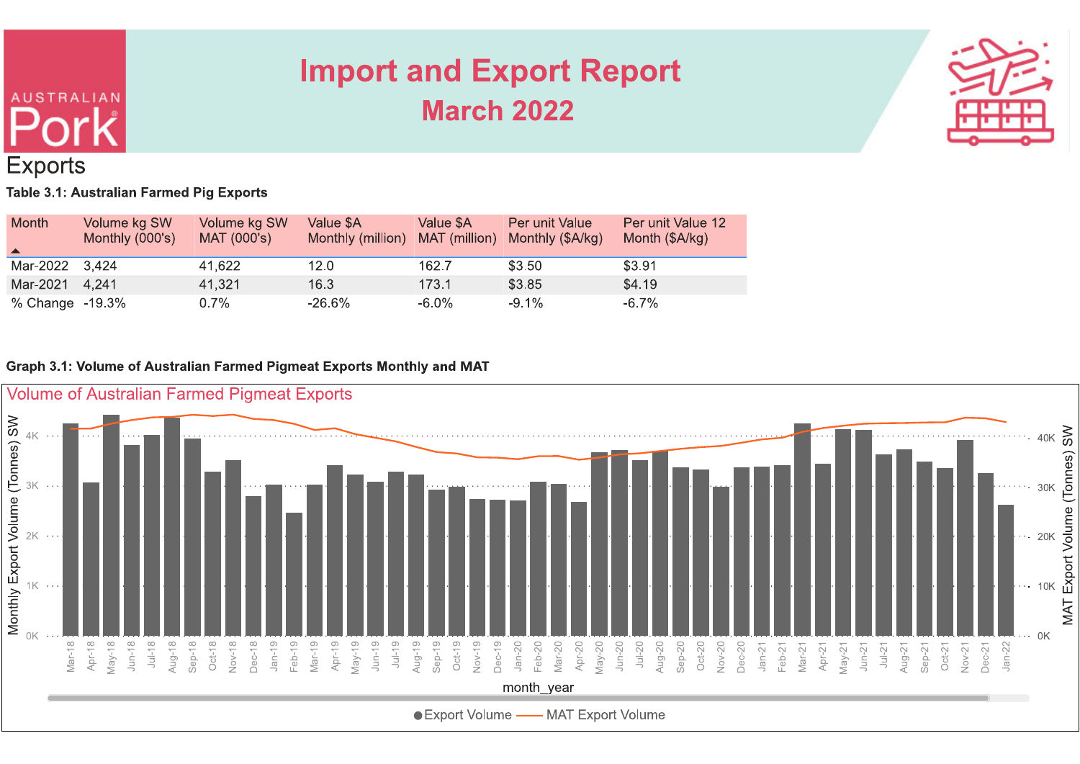

### **Exports** Table 3.1: Australian Farmed Pig Exports

**AUSTRALIAN** 

| Month<br>$\blacktriangle$ | Volume kg SW<br>Monthly (000's) | Volume kg SW<br>MAT (000's) | Value \$A<br>Monthly (million) | Value \$A<br>MAT (million) | Per unit Value<br>Monthly (\$A/kg) | Per unit Value 12<br>Month (\$A/kg) |
|---------------------------|---------------------------------|-----------------------------|--------------------------------|----------------------------|------------------------------------|-------------------------------------|
| Mar-2022 3,424            |                                 | 41,622                      | 12.0                           | 162.7                      | \$3.50                             | \$3.91                              |
| Mar-2021 4,241            |                                 | 41,321                      | 16.3                           | 173.1                      | \$3.85                             | \$4.19                              |
| % Change -19.3%           |                                 | 0.7%                        | $-26.6\%$                      | -6.0%                      | $-9.1\%$                           | $-6.7\%$                            |

### Graph 3.1: Volume of Australian Farmed Pigmeat Exports Monthly and MAT

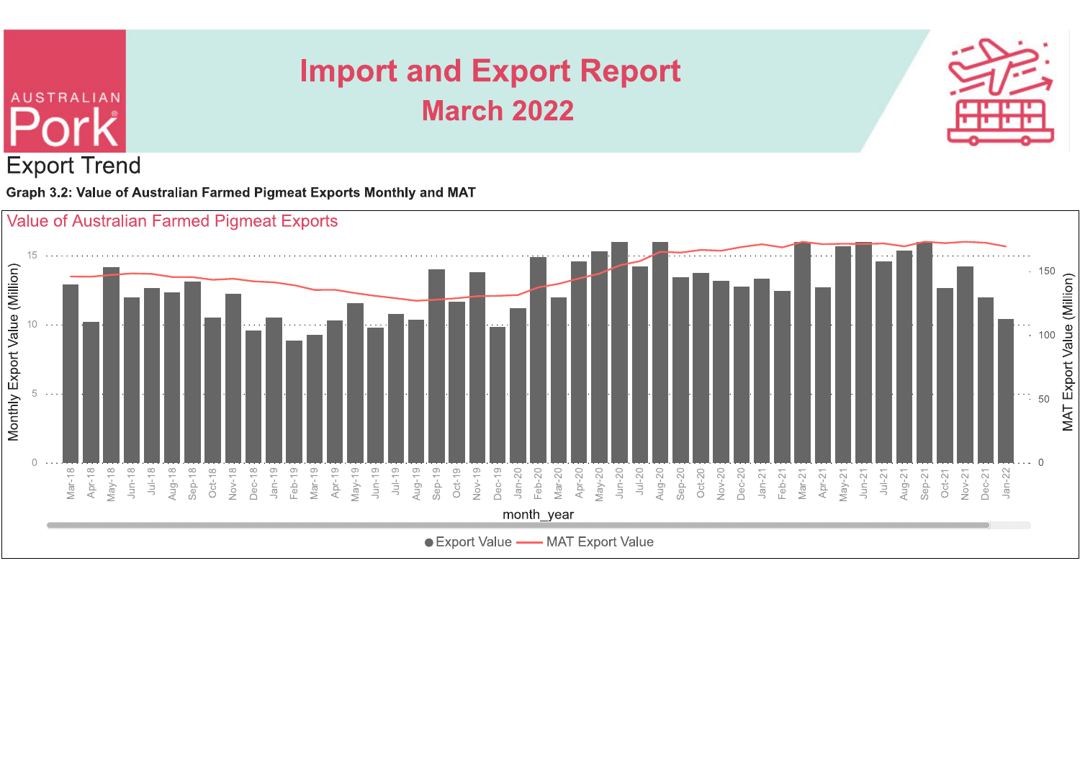

Graph 3.2: Value of Australian Farmed Pigmeat Exports Monthly and MAT

**AUSTRALIAN** 

**Export Trend** 

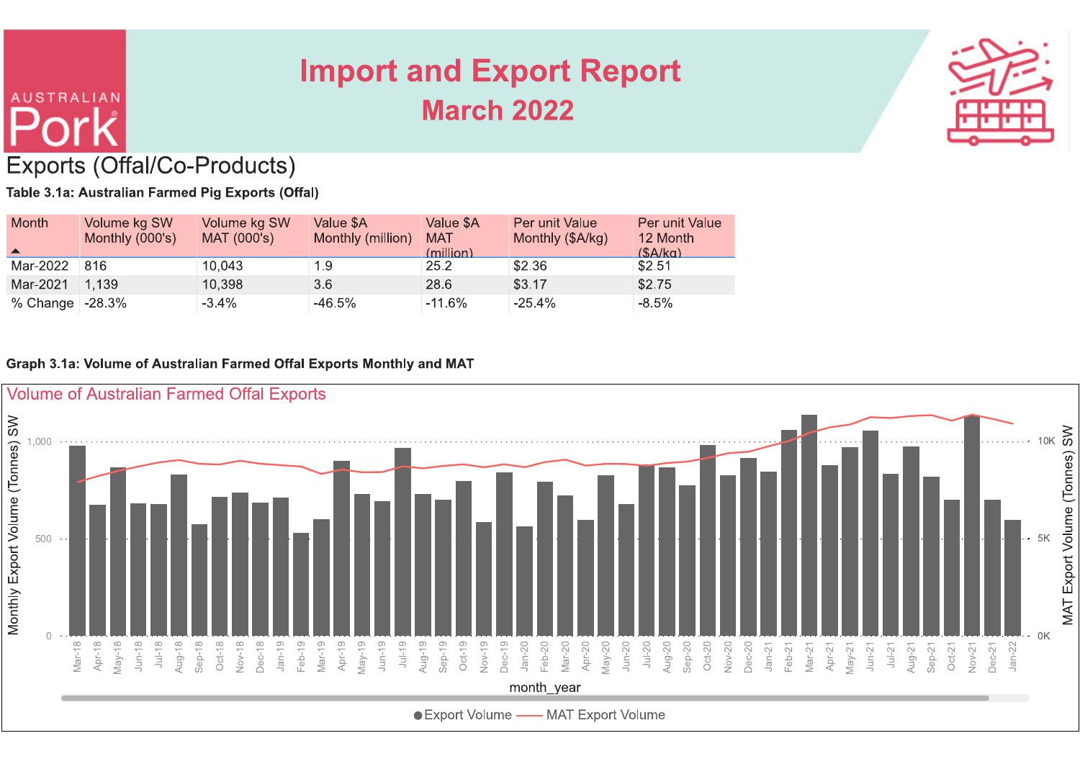

## Exports (Offal/Co-Products)

**AUSTRALIAN** 

Table 3.1a: Australian Farmed Pig Exports (Offal)

| Month             | Volume kg SW<br>Monthly (000's) | Volume kg SW<br>MAT (000's) | Value \$A<br>Monthly (million) | Value \$A<br><b>MAT</b><br>(million) | Per unit Value<br>Monthly (\$A/kg) | Per unit Value<br>12 Month<br>(SA/ka) |
|-------------------|---------------------------------|-----------------------------|--------------------------------|--------------------------------------|------------------------------------|---------------------------------------|
| Mar-2022          | 816                             | 10,043                      | 1.9                            | 25.2                                 | \$2.36                             | \$2.51                                |
| Mar-2021          | 1,139                           | 10,398                      | 3.6                            | 28.6                                 | \$3.17                             | \$2.75                                |
| % Change $-28.3%$ |                                 | $-3.4\%$                    | -46.5%                         | $-11.6\%$                            | $-25.4%$                           | $-8.5%$                               |

### Graph 3.1a: Volume of Australian Farmed Offal Exports Monthly and MAT

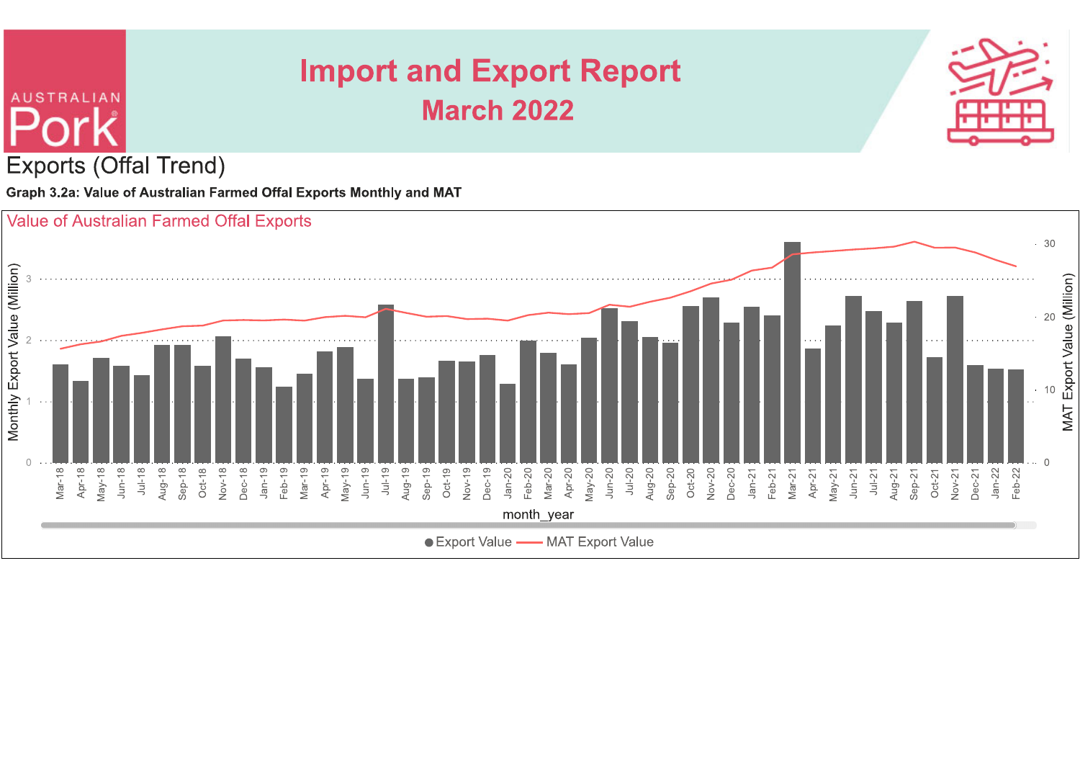

**Exports (Offal Trend)** 

**AUSTRALIAN** 

Graph 3.2a: Value of Australian Farmed Offal Exports Monthly and MAT

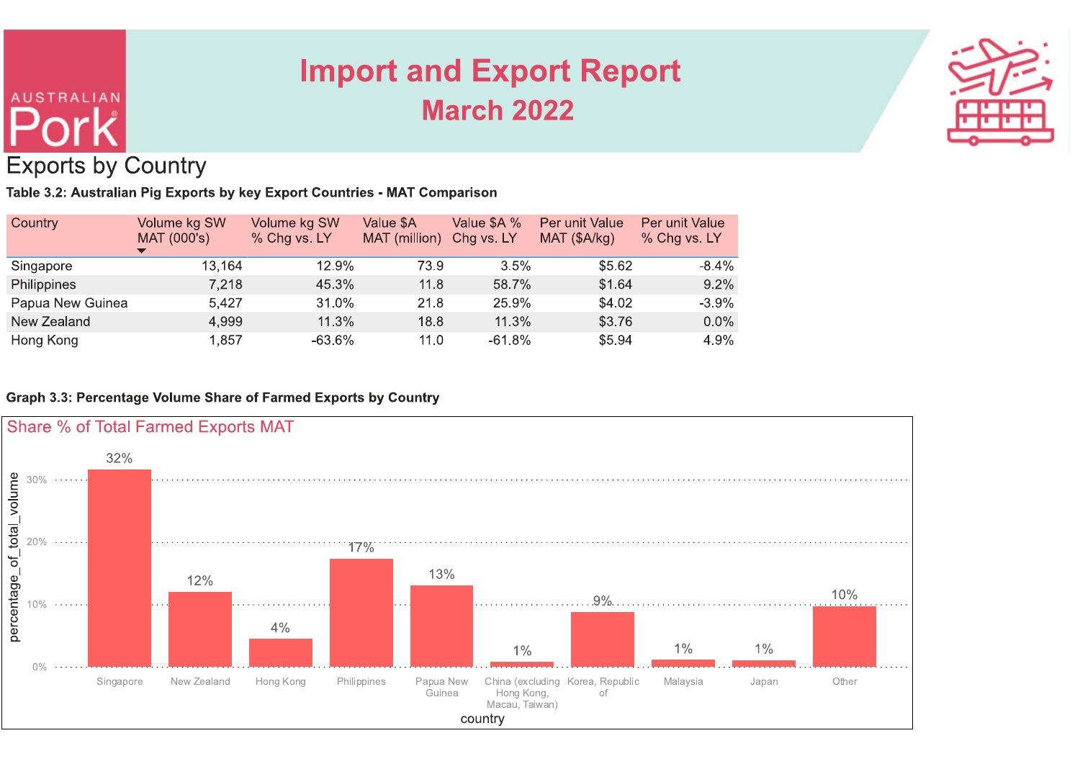# **AUSTRALIAN Exports by Country**

## **Import and Export Report March 2022**



### Table 3.2: Australian Pig Exports by key Export Countries - MAT Comparison

| Country          | Volume kg SW<br>MAT (000's) | Volume kg SW<br>% Chg vs. LY | Value \$A<br>MAT (million) | Value \$A %<br>Chg vs. LY | Per unit Value<br>MAT (\$A/kg) | Per unit Value<br>% Chg vs. LY |
|------------------|-----------------------------|------------------------------|----------------------------|---------------------------|--------------------------------|--------------------------------|
| Singapore        | 13,164                      | 12.9%                        | 73.9                       | 3.5%                      | \$5.62                         | $-8.4%$                        |
| Philippines      | 7,218                       | 45.3%                        | 11.8                       | 58.7%                     | \$1.64                         | 9.2%                           |
| Papua New Guinea | 5.427                       | 31.0%                        | 21.8                       | 25.9%                     | \$4.02                         | $-3.9%$                        |
| New Zealand      | 4,999                       | 11.3%                        | 18.8                       | 11.3%                     | \$3.76                         | $0.0\%$                        |
| Hong Kong        | 1,857                       | $-63.6\%$                    | 11.0                       | $-61.8%$                  | \$5.94                         | 4.9%                           |

### Graph 3.3: Percentage Volume Share of Farmed Exports by Country

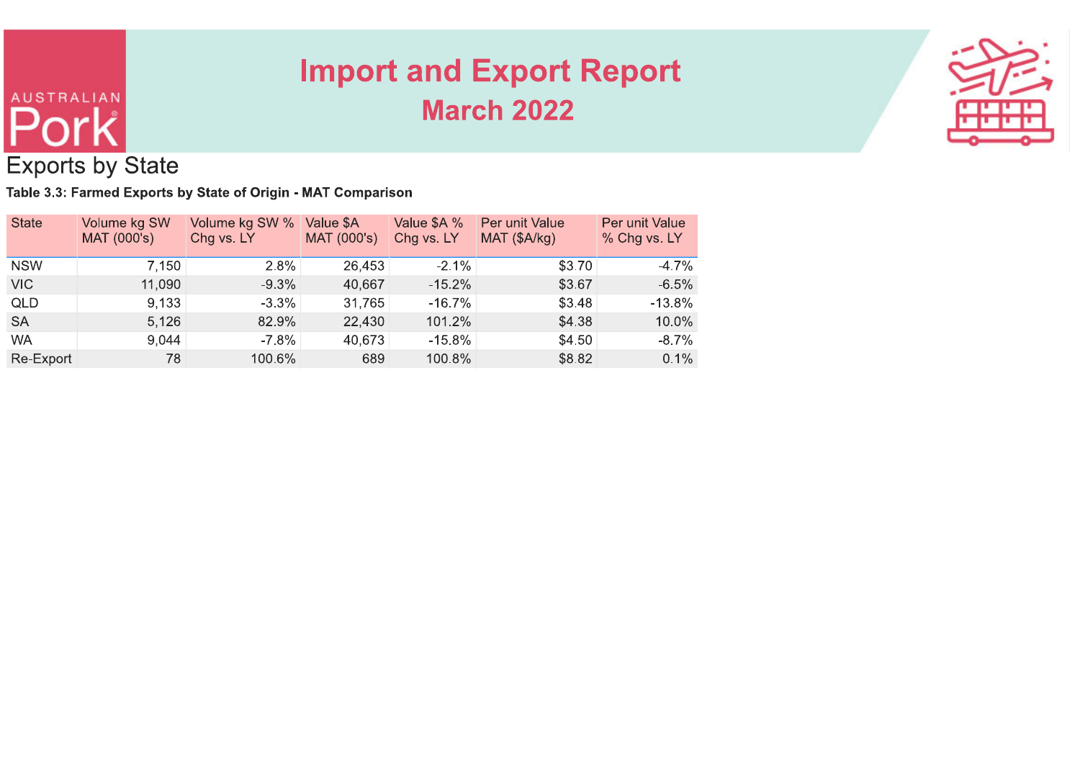

| <b>AUSTRALIAN</b><br><b>Exports by State</b> |                   |                  |                                         |                                                                             |                                                                      |
|----------------------------------------------|-------------------|------------------|-----------------------------------------|-----------------------------------------------------------------------------|----------------------------------------------------------------------|
| Volume kg SW                                 |                   |                  | Value \$A %                             | Per unit Value                                                              | Per unit Value<br>% Chg vs. LY                                       |
|                                              |                   |                  |                                         |                                                                             |                                                                      |
|                                              |                   |                  |                                         |                                                                             |                                                                      |
| 7,150                                        | 2.8%              | 26,453           | $-2.1%$                                 | \$3.70                                                                      | $-4.7%$                                                              |
| 11,090                                       | $-9.3%$           | 40,667           | $-15.2%$                                | \$3.67                                                                      | $-6.5%$                                                              |
| 9,133                                        | $-3.3%$           | 31,765           | $-16.7%$                                | \$3.48                                                                      | $-13.8%$                                                             |
| 5,126<br>9,044                               | 82.9%<br>$-7.8\%$ | 22,430<br>40,673 | 101.2%<br>$-15.8\%$                     | \$4.38<br>\$4.50                                                            | 10.0%<br>$-8.7\%$                                                    |
|                                              | MAT (000's)       | Chg vs. LY       | Volume kg SW % Value \$A<br>MAT (000's) | Table 3.3: Farmed Exports by State of Origin - MAT Comparison<br>Chg vs. LY | <b>Import and Export Report</b><br><b>March 2022</b><br>MAT (\$A/kg) |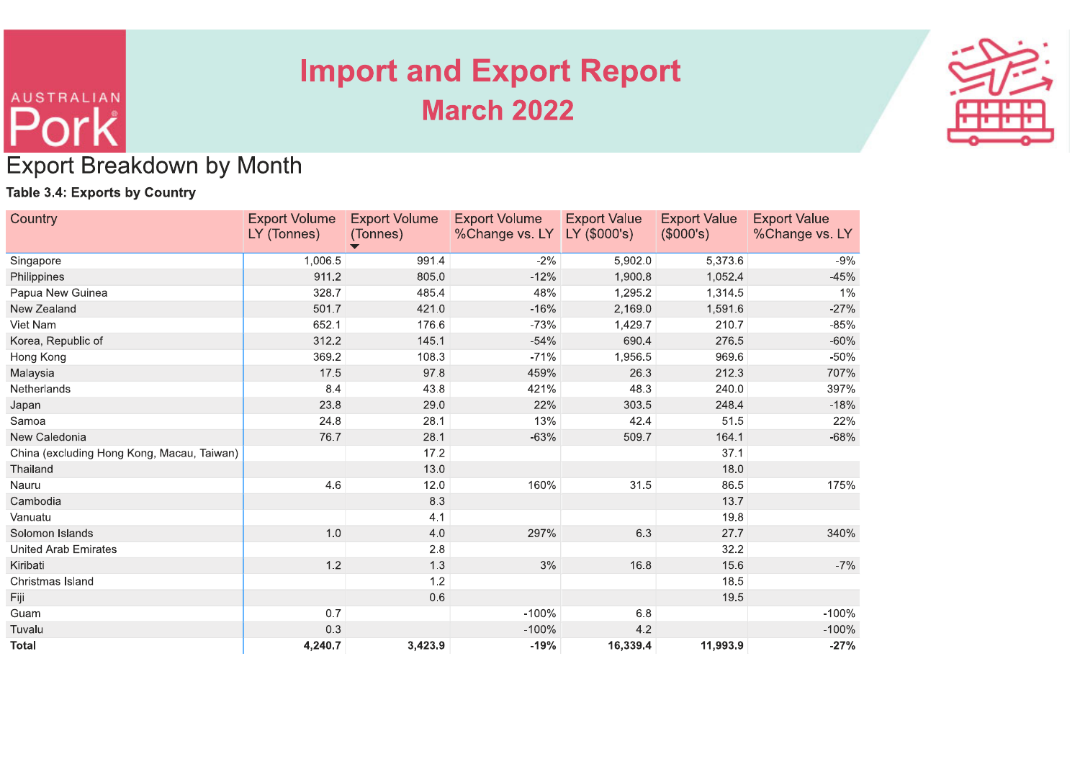

| <b>AUSTRALIAN</b>                          |                      |                               |                      |                                 |                     |                     |
|--------------------------------------------|----------------------|-------------------------------|----------------------|---------------------------------|---------------------|---------------------|
|                                            |                      |                               |                      |                                 |                     |                     |
|                                            |                      |                               |                      |                                 |                     |                     |
|                                            |                      |                               |                      |                                 |                     |                     |
|                                            |                      |                               |                      |                                 |                     |                     |
|                                            |                      |                               |                      |                                 |                     |                     |
|                                            |                      |                               |                      |                                 |                     |                     |
|                                            |                      |                               |                      |                                 |                     |                     |
|                                            |                      |                               |                      |                                 |                     |                     |
|                                            |                      |                               |                      | <b>Import and Export Report</b> |                     |                     |
|                                            |                      |                               |                      |                                 |                     |                     |
|                                            |                      |                               | <b>March 2022</b>    |                                 |                     |                     |
|                                            |                      |                               |                      |                                 |                     |                     |
|                                            |                      |                               |                      |                                 |                     |                     |
| <b>Export Breakdown by Month</b>           |                      |                               |                      |                                 |                     |                     |
|                                            |                      |                               |                      |                                 |                     |                     |
| <b>Table 3.4: Exports by Country</b>       |                      |                               |                      |                                 |                     |                     |
| Country                                    | <b>Export Volume</b> | <b>Export Volume</b>          | <b>Export Volume</b> | <b>Export Value</b>             | <b>Export Value</b> | <b>Export Value</b> |
|                                            | LY (Tonnes)          | (Tonnes)                      | %Change vs. LY       | $ $ LY (\$000's)                | (\$000's)           | %Change vs. LY      |
| Singapore                                  | 1,006.5              | $\blacktriangledown$<br>991.4 | $-2%$                | 5,902.0                         | 5,373.6             | $-9%$               |
| Philippines                                | 911.2                | 805.0                         | $-12%$               | 1,900.8                         | 1,052.4             | $-45%$              |
| Papua New Guinea                           | 328.7                | 485.4                         | 48%                  | 1,295.2                         | 1,314.5             | 1%                  |
| New Zealand                                | 501.7                | 421.0                         | $-16%$               | 2,169.0                         | 1,591.6             | $-27%$              |
| Viet Nam                                   | 652.1                | 176.6                         | $-73%$               | 1,429.7                         | 210.7               | $-85%$              |
| Korea, Republic of                         | 312.2                | 145.1                         | $-54%$               | 690.4                           | 276.5               | $-60%$              |
| Hong Kong                                  | 369.2                | 108.3                         | $-71%$               | 1,956.5                         | 969.6               | $-50%$              |
| Malaysia                                   | 17.5                 | 97.8                          | 459%                 | 26.3                            | 212.3               | 707%                |
| Netherlands                                | 8.4                  | 43.8                          | 421%                 | 48.3                            | 240.0               | 397%                |
| Japan                                      | 23.8                 | 29.0                          | 22%                  | 303.5                           | 248.4               | $-18%$              |
| Samoa<br>New Caledonia                     | 24.8<br>76.7         | 28.1<br>28.1                  | 13%<br>$-63%$        | 42.4<br>509.7                   | 51.5<br>164.1       | 22%<br>$-68%$       |
| China (excluding Hong Kong, Macau, Taiwan) |                      | 17.2                          |                      |                                 | 37.1                |                     |
|                                            |                      | 13.0                          |                      |                                 | 18.0                |                     |
|                                            |                      |                               |                      | 31.5                            | 86.5                | 175%                |
| Thailand<br>Nauru                          |                      |                               |                      |                                 |                     |                     |
| Cambodia                                   | 4.6                  | 12.0<br>8.3                   | 160%                 |                                 | 13.7                |                     |
| Vanuatu                                    |                      | 4.1                           |                      |                                 | 19.8                |                     |
| Solomon Islands                            | 1.0                  | $4.0\,$                       | 297%                 | 6.3                             | 27.7                |                     |
| <b>United Arab Emirates</b>                |                      | $2.8\,$                       |                      |                                 | 32.2                | 340%                |
| Kiribati                                   | $1.2$                | $1.3$                         | 3%                   | 16.8                            | 15.6                | $-7%$               |
| Christmas Island                           |                      | 1.2                           |                      |                                 | 18.5                |                     |
| Fiji                                       |                      | 0.6                           |                      |                                 | 19.5                |                     |
| Guam<br>Tuvalu                             | 0.7<br>0.3           |                               | $-100%$<br>$-100%$   | $6.8\,$<br>$4.2\,$              |                     | $-100%$<br>$-100%$  |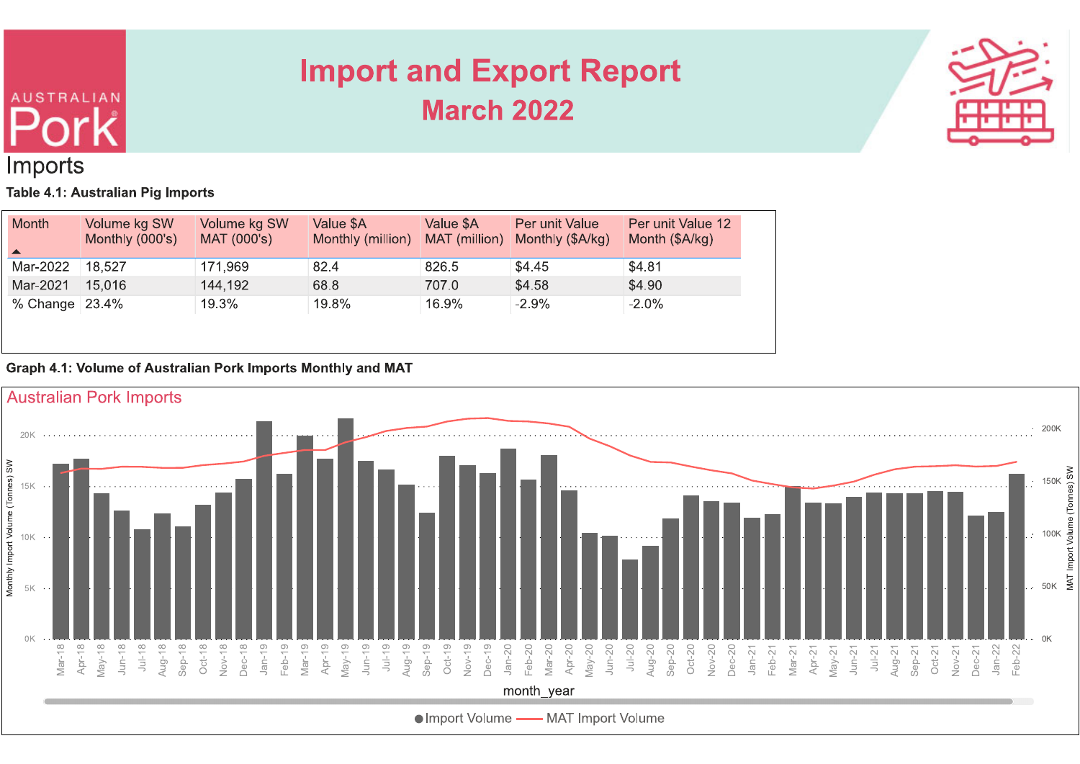# **AUSTRALIAN** Imports

## **Import and Export Report March 2022**



### Table 4.1: Australian Pig Imports

| <b>Month</b><br>$\blacktriangle$ | Volume kg SW<br>Monthly (000's) | Volume kg SW<br>MAT (000's) | Value \$A<br>Monthly (million) | Value \$A<br>MAT (million) | Per unit Value<br>Monthly (\$A/kg) | Per unit Value 12<br>Month (\$A/kg) |
|----------------------------------|---------------------------------|-----------------------------|--------------------------------|----------------------------|------------------------------------|-------------------------------------|
| Mar-2022                         | 18.527                          | 171,969                     | 82.4                           | 826.5                      | \$4.45                             | \$4.81                              |
| Mar-2021                         | 15,016                          | 144,192                     | 68.8                           | 707.0                      | \$4.58                             | \$4.90                              |
| % Change $23.4%$                 |                                 | 19.3%                       | 19.8%                          | 16.9%                      | $-2.9%$                            | $-2.0%$                             |

### Graph 4.1: Volume of Australian Pork Imports Monthly and MAT

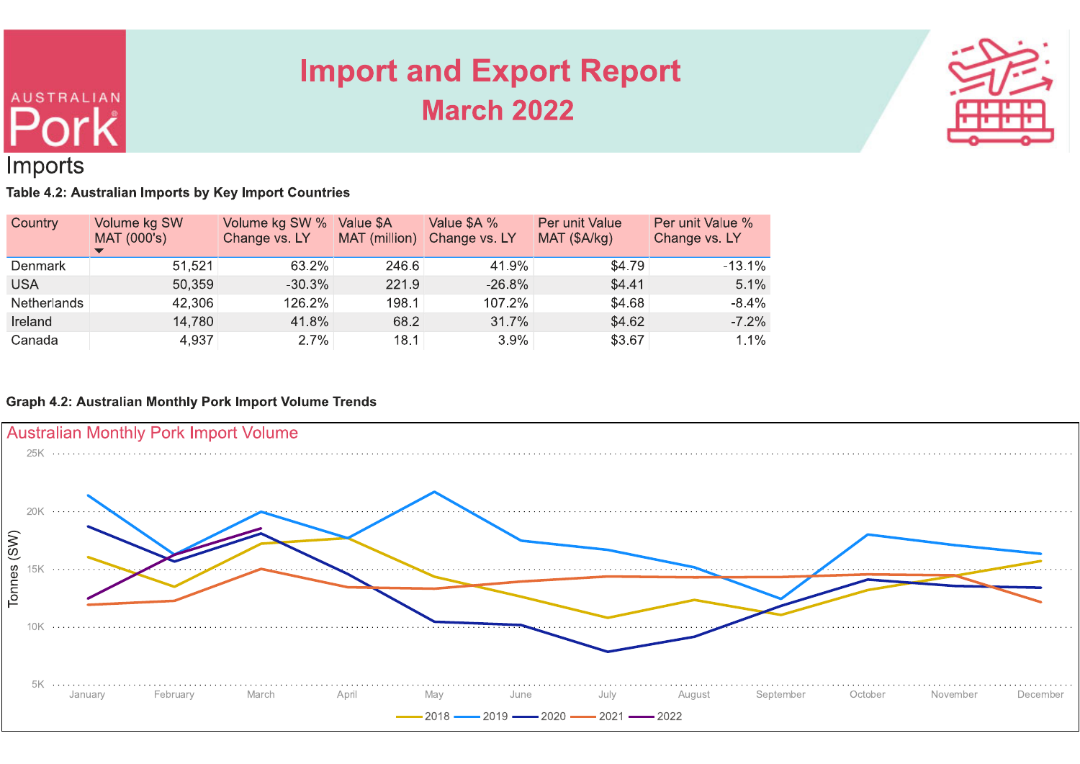

## Imports

**AUSTRALIAN** 

Table 4.2: Australian Imports by Key Import Countries

| Country            | Volume kg SW<br>MAT (000's) | Volume kg SW %<br>Change vs. LY | Value \$A<br>MAT (million) | Value \$A %<br>Change vs. LY | Per unit Value<br>MAT (\$A/kg) | Per unit Value %<br>Change vs. LY |
|--------------------|-----------------------------|---------------------------------|----------------------------|------------------------------|--------------------------------|-----------------------------------|
| Denmark            | 51,521                      | 63.2%                           | 246.6                      | 41.9%                        | \$4.79                         | $-13.1%$                          |
| <b>USA</b>         | 50,359                      | $-30.3%$                        | 221.9                      | $-26.8%$                     | \$4.41                         | 5.1%                              |
| <b>Netherlands</b> | 42,306                      | 126.2%                          | 198.1                      | 107.2%                       | \$4.68                         | $-8.4\%$                          |
| Ireland            | 14,780                      | 41.8%                           | 68.2                       | 31.7%                        | \$4.62                         | $-7.2%$                           |
| Canada             | 4,937                       | $2.7\%$                         | 18.1                       | 3.9%                         | \$3.67                         | 1.1%                              |

### **Graph 4.2: Australian Monthly Pork Import Volume Trends**

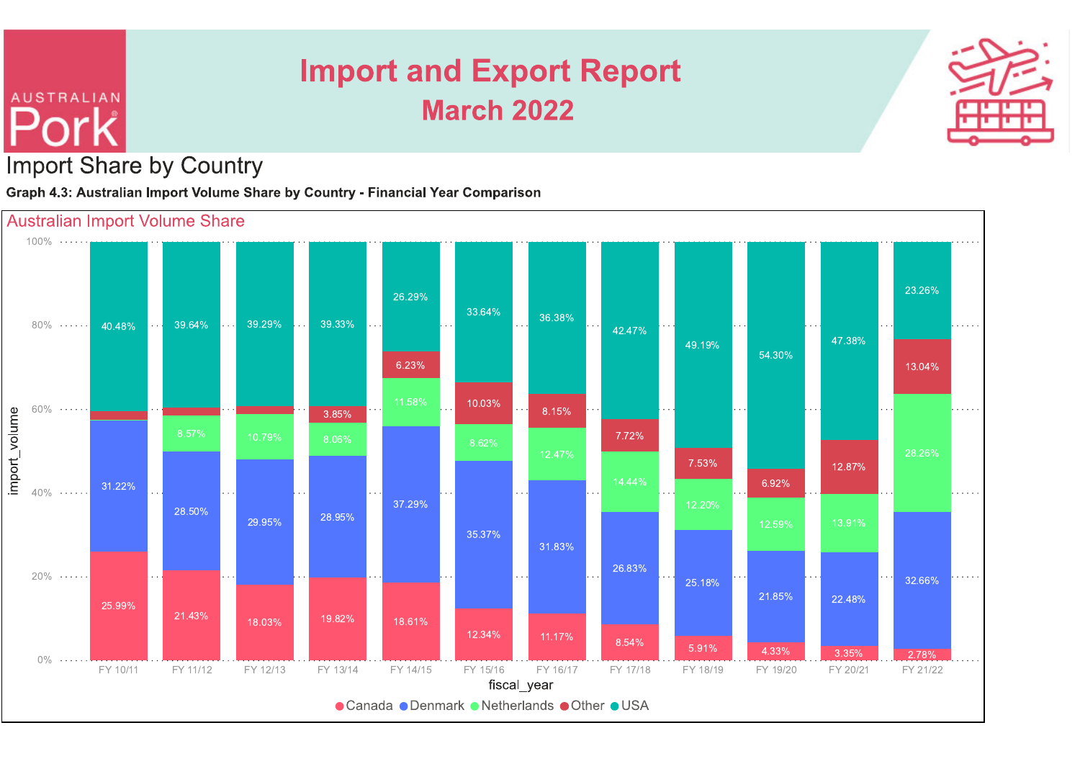